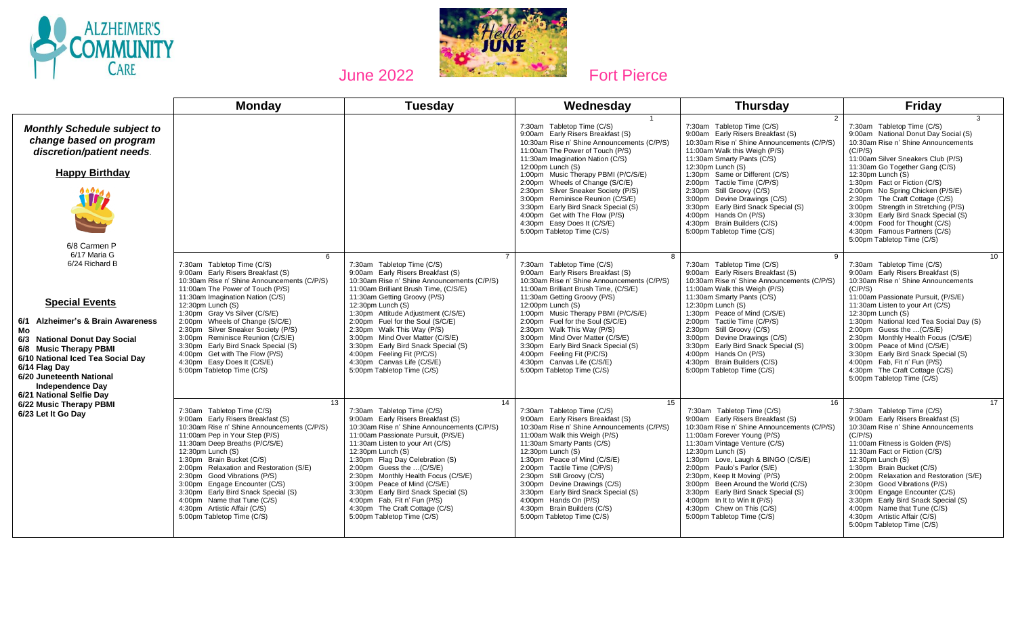



|                                                                                                                                                                                                                                                                                                                                                                       | <b>Monday</b>                                                                                                                                                                                                                                                                                                                                                                                                                                                                                                                 | <b>Tuesday</b>                                                                                                                                                                                                                                                                                                                                                                                                                                                                                     | Wednesday                                                                                                                                                                                                                                                                                                                                                                                                                                                                                              | <b>Thursday</b>                                                                                                                                                                                                                                                                                                                                                                                                                                                                         | <b>Friday</b>                                                                                                                                                                                                                                                                                                                                                                                                                                                                                                              |
|-----------------------------------------------------------------------------------------------------------------------------------------------------------------------------------------------------------------------------------------------------------------------------------------------------------------------------------------------------------------------|-------------------------------------------------------------------------------------------------------------------------------------------------------------------------------------------------------------------------------------------------------------------------------------------------------------------------------------------------------------------------------------------------------------------------------------------------------------------------------------------------------------------------------|----------------------------------------------------------------------------------------------------------------------------------------------------------------------------------------------------------------------------------------------------------------------------------------------------------------------------------------------------------------------------------------------------------------------------------------------------------------------------------------------------|--------------------------------------------------------------------------------------------------------------------------------------------------------------------------------------------------------------------------------------------------------------------------------------------------------------------------------------------------------------------------------------------------------------------------------------------------------------------------------------------------------|-----------------------------------------------------------------------------------------------------------------------------------------------------------------------------------------------------------------------------------------------------------------------------------------------------------------------------------------------------------------------------------------------------------------------------------------------------------------------------------------|----------------------------------------------------------------------------------------------------------------------------------------------------------------------------------------------------------------------------------------------------------------------------------------------------------------------------------------------------------------------------------------------------------------------------------------------------------------------------------------------------------------------------|
| <b>Monthly Schedule subject to</b><br>change based on program<br>discretion/patient needs.<br><b>Happy Birthday</b><br>6/8 Carmen P                                                                                                                                                                                                                                   |                                                                                                                                                                                                                                                                                                                                                                                                                                                                                                                               |                                                                                                                                                                                                                                                                                                                                                                                                                                                                                                    | 7:30am Tabletop Time (C/S)<br>9:00am Early Risers Breakfast (S)<br>10:30am Rise n' Shine Announcements (C/P/S)<br>11:00am The Power of Touch (P/S)<br>11:30am Imagination Nation (C/S)<br>12:00pm Lunch (S)<br>1:00pm Music Therapy PBMI (P/C/S/E)<br>2:00pm Wheels of Change (S/C/E)<br>2:30pm Silver Sneaker Society (P/S)<br>3:00pm Reminisce Reunion (C/S/E)<br>3:30pm Early Bird Snack Special (S)<br>4:00pm Get with The Flow (P/S)<br>4:30pm Easy Does It (C/S/E)<br>5:00pm Tabletop Time (C/S) | $\mathcal{P}$<br>7:30am Tabletop Time (C/S)<br>9:00am Early Risers Breakfast (S)<br>10:30am Rise n' Shine Announcements (C/P/S)<br>11:00am Walk this Weigh (P/S)<br>11:30am Smarty Pants (C/S)<br>12:30pm Lunch (S)<br>1:30pm Same or Different (C/S)<br>2:00pm Tactile Time (C/P/S)<br>2:30pm Still Groovy (C/S)<br>3:00pm Devine Drawings (C/S)<br>3:30pm Early Bird Snack Special (S)<br>4:00pm Hands On (P/S)<br>4:30pm Brain Builders (C/S)<br>5:00pm Tabletop Time (C/S)          | $\mathcal{R}$<br>7:30am Tabletop Time (C/S)<br>9:00am National Donut Day Social (S)<br>10:30am Rise n' Shine Announcements<br>(C/P/S)<br>11:00am Silver Sneakers Club (P/S)<br>11:30am Go Together Gang (C/S)<br>$12:30$ pm Lunch $(S)$<br>1:30pm Fact or Fiction (C/S)<br>2:00pm No Spring Chicken (P/S/E)<br>2:30pm The Craft Cottage (C/S)<br>3:00pm Strength in Stretching (P/S)<br>3:30pm Early Bird Snack Special (S)<br>4:00pm Food for Thought (C/S)<br>4:30pm Famous Partners (C/S)<br>5:00pm Tabletop Time (C/S) |
| 6/17 Maria G<br>6/24 Richard B<br><b>Special Events</b><br><b>Alzheimer's &amp; Brain Awareness</b><br>6/1<br>Mo<br>6/3 National Donut Day Social<br>6/8 Music Therapy PBMI<br>6/10 National Iced Tea Social Day<br>6/14 Flag Day<br>6/20 Juneteenth National<br><b>Independence Day</b><br>6/21 National Selfie Dav<br>6/22 Music Therapy PBMI<br>6/23 Let It Go Day | $\epsilon$<br>7:30am Tabletop Time (C/S)<br>9:00am Early Risers Breakfast (S)<br>10:30am Rise n' Shine Announcements (C/P/S)<br>11:00am The Power of Touch (P/S)<br>11:30am Imagination Nation (C/S)<br>12:30pm Lunch (S)<br>1:30pm Gray Vs Silver (C/S/E)<br>2:00pm Wheels of Change (S/C/E)<br>2:30pm Silver Sneaker Society (P/S)<br>Reminisce Reunion (C/S/E)<br>3:00 <sub>pm</sub><br>3:30pm Early Bird Snack Special (S)<br>4:00pm Get with The Flow (P/S)<br>4:30pm Easy Does It (C/S/E)<br>5:00pm Tabletop Time (C/S) | 7:30am Tabletop Time (C/S)<br>9:00am Early Risers Breakfast (S)<br>10:30am Rise n' Shine Announcements (C/P/S)<br>11:00am Brilliant Brush Time, (C/S/E)<br>11:30am Getting Groovy (P/S)<br>$12:30$ pm Lunch $(S)$<br>1:30pm Attitude Adjustment (C/S/E)<br>2:00pm Fuel for the Soul (S/C/E)<br>2:30pm Walk This Way (P/S)<br>3:00pm Mind Over Matter (C/S/E)<br>3:30pm Early Bird Snack Special (S)<br>4:00pm Feeling Fit (P/C/S)<br>4:30pm Canvas Life (C/S/E)<br>5:00pm Tabletop Time (C/S)      | 7:30am Tabletop Time (C/S)<br>9:00am Early Risers Breakfast (S)<br>10:30am Rise n' Shine Announcements (C/P/S)<br>11:00am Brilliant Brush Time, (C/S/E)<br>11:30am Getting Groovy (P/S)<br>$12:00$ pm Lunch $(S)$<br>1:00pm Music Therapy PBMI (P/C/S/E)<br>2:00pm Fuel for the Soul (S/C/E)<br>2:30pm Walk This Way (P/S)<br>3:00pm Mind Over Matter (C/S/E)<br>3:30pm Early Bird Snack Special (S)<br>4:00pm Feeling Fit (P/C/S)<br>4:30pm Canvas Life (C/S/E)<br>5:00pm Tabletop Time (C/S)         | <b>q</b><br>7:30am Tabletop Time (C/S)<br>9:00am Early Risers Breakfast (S)<br>10:30am Rise n' Shine Announcements (C/P/S)<br>11:00am Walk this Weigh (P/S)<br>11:30am Smarty Pants (C/S)<br>12:30pm Lunch (S)<br>1:30pm Peace of Mind (C/S/E)<br>2:00pm Tactile Time (C/P/S)<br>2:30pm Still Groovy (C/S)<br>3:00pm Devine Drawings (C/S)<br>3:30pm Early Bird Snack Special (S)<br>4:00pm Hands On (P/S)<br>4:30pm Brain Builders (C/S)<br>5:00pm Tabletop Time (C/S)                 | 10 <sup>1</sup><br>7:30am Tabletop Time (C/S)<br>9:00am Early Risers Breakfast (S)<br>10:30am Rise n' Shine Announcements<br>(C/P/S)<br>11:00am Passionate Pursuit, (P/S/E)<br>11:30am Listen to your Art (C/S)<br>12:30pm Lunch (S)<br>1:30pm National Iced Tea Social Day (S)<br>2:00pm Guess the  (C/S/E)<br>2:30pm Monthly Health Focus (C/S/E)<br>3:00pm Peace of Mind (C/S/E)<br>3:30pm Early Bird Snack Special (S)<br>4:00pm Fab, Fit n' Fun (P/S)<br>4:30pm The Craft Cottage (C/S)<br>5:00pm Tabletop Time (C/S) |
|                                                                                                                                                                                                                                                                                                                                                                       | 13<br>7:30am Tabletop Time (C/S)<br>9:00am Early Risers Breakfast (S)<br>10:30am Rise n' Shine Announcements (C/P/S)<br>11:00am Pep in Your Step (P/S)<br>11:30am Deep Breaths (P/C/S/E)<br>12:30pm Lunch (S)<br>1:30pm Brain Bucket (C/S)<br>2:00pm Relaxation and Restoration (S/E)<br>2:30pm Good Vibrations (P/S)<br>3:00pm Engage Encounter (C/S)<br>3:30pm Early Bird Snack Special (S)<br>4:00pm Name that Tune (C/S)<br>4:30pm Artistic Affair (C/S)<br>5:00pm Tabletop Time (C/S)                                    | 14<br>7:30am Tabletop Time (C/S)<br>9:00am Early Risers Breakfast (S)<br>10:30am Rise n' Shine Announcements (C/P/S)<br>11:00am Passionate Pursuit, (P/S/E)<br>11:30am Listen to your Art (C/S)<br>12:30pm Lunch (S)<br>1:30pm Flag Day Celebration (S)<br>2:00pm Guess the  (C/S/E)<br>2:30pm Monthly Health Focus (C/S/E)<br>3:00pm Peace of Mind (C/S/E)<br>3:30pm Early Bird Snack Special (S)<br>4:00pm Fab, Fit n' Fun (P/S)<br>4:30pm The Craft Cottage (C/S)<br>5:00pm Tabletop Time (C/S) | 15<br>7:30am Tabletop Time (C/S)<br>9:00am Early Risers Breakfast (S)<br>10:30am Rise n' Shine Announcements (C/P/S)<br>11:00am Walk this Weigh (P/S)<br>11:30am Smarty Pants (C/S)<br>12:30pm Lunch (S)<br>1:30pm Peace of Mind (C/S/E)<br>2:00pm Tactile Time (C/P/S)<br>2:30pm Still Groovy (C/S)<br>3:00pm Devine Drawings (C/S)<br>3:30pm Early Bird Snack Special (S)<br>4:00pm Hands On (P/S)<br>4:30pm Brain Builders (C/S)<br>5:00pm Tabletop Time (C/S)                                      | 16<br>7:30am Tabletop Time (C/S)<br>9:00am Early Risers Breakfast (S)<br>10:30am Rise n' Shine Announcements (C/P/S)<br>11:00am Forever Young (P/S)<br>11:30am Vintage Venture (C/S)<br>12:30pm Lunch (S)<br>1:30pm Love, Laugh & BINGO (C/S/E)<br>2:00pm Paulo's Parlor (S/E)<br>2:30pm, Keep It Moving' (P/S)<br>3:00pm Been Around the World (C/S)<br>3:30pm Early Bird Snack Special (S)<br>4:00pm In It to Win It (P/S)<br>4:30pm Chew on This (C/S)<br>5:00pm Tabletop Time (C/S) | 17<br>7:30am Tabletop Time (C/S)<br>9:00am Early Risers Breakfast (S)<br>10:30am Rise n' Shine Announcements<br>(C/P/S)<br>11:00am Fitness is Golden (P/S)<br>11:30am Fact or Fiction (C/S)<br>$12:30$ pm Lunch $(S)$<br>1:30pm Brain Bucket (C/S)<br>2:00pm Relaxation and Restoration (S/E)<br>2:30pm Good Vibrations (P/S)<br>3:00pm Engage Encounter (C/S)<br>3:30pm Early Bird Snack Special (S)<br>4:00pm Name that Tune (C/S)<br>4:30pm Artistic Affair (C/S)<br>5:00pm Tabletop Time (C/S)                         |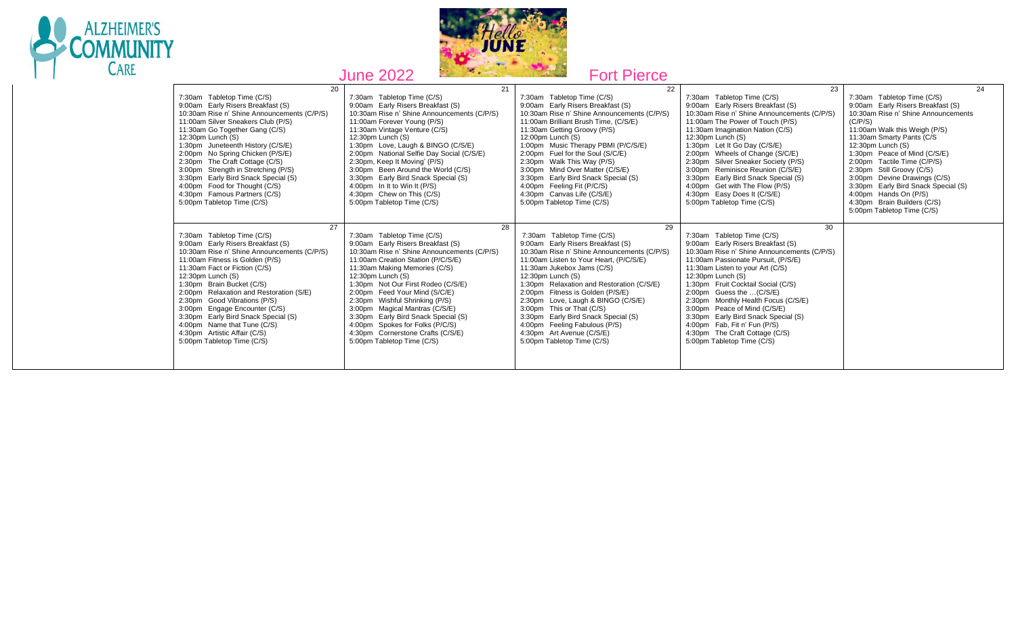



|                                                                                                                                                                                                                                                                                                                                                                                                                                                                                                           | 0.110211                                                                                                                                                                                                                                                                                                                                                                                                                                                                                                 | <b>UILITULU</b>                                                                                                                                                                                                                                                                                                                                                                                                                                                                                           |                                                                                                                                                                                                                                                                                                                                                                                                                                                                                                       |                                                                                                                                                                                                                                                                                                                                                                                                                                                                           |
|-----------------------------------------------------------------------------------------------------------------------------------------------------------------------------------------------------------------------------------------------------------------------------------------------------------------------------------------------------------------------------------------------------------------------------------------------------------------------------------------------------------|----------------------------------------------------------------------------------------------------------------------------------------------------------------------------------------------------------------------------------------------------------------------------------------------------------------------------------------------------------------------------------------------------------------------------------------------------------------------------------------------------------|-----------------------------------------------------------------------------------------------------------------------------------------------------------------------------------------------------------------------------------------------------------------------------------------------------------------------------------------------------------------------------------------------------------------------------------------------------------------------------------------------------------|-------------------------------------------------------------------------------------------------------------------------------------------------------------------------------------------------------------------------------------------------------------------------------------------------------------------------------------------------------------------------------------------------------------------------------------------------------------------------------------------------------|---------------------------------------------------------------------------------------------------------------------------------------------------------------------------------------------------------------------------------------------------------------------------------------------------------------------------------------------------------------------------------------------------------------------------------------------------------------------------|
| 20<br>7:30am Tabletop Time (C/S)<br>9:00am Early Risers Breakfast (S)<br>10:30am Rise n' Shine Announcements (C/P/S)<br>11:00am Silver Sneakers Club (P/S)<br>11:30am Go Together Gang (C/S)<br>12:30pm Lunch (S)<br>1:30pm Juneteenth History (C/S/E)<br>2:00pm No Spring Chicken (P/S/E)<br>2:30pm The Craft Cottage (C/S)<br>3:00pm Strength in Stretching (P/S)<br>3:30pm Early Bird Snack Special (S)<br>4:00pm Food for Thought (C/S)<br>4:30pm Famous Partners (C/S)<br>5:00pm Tabletop Time (C/S) | 21<br>7:30am Tabletop Time (C/S)<br>9:00am Early Risers Breakfast (S)<br>10:30am Rise n' Shine Announcements (C/P/S)<br>11:00am Forever Young (P/S)<br>11:30am Vintage Venture (C/S)<br>12:30pm Lunch (S)<br>1:30pm Love, Laugh & BINGO (C/S/E)<br>2:00pm National Selfie Day Social (C/S/E)<br>2:30pm, Keep It Moving' (P/S)<br>3:00pm Been Around the World (C/S)<br>3:30pm Early Bird Snack Special (S)<br>4:00pm In It to Win It (P/S)<br>4:30pm Chew on This (C/S)<br>5:00pm Tabletop Time (C/S)    | 22<br>7:30am Tabletop Time (C/S)<br>9:00am Early Risers Breakfast (S)<br>10:30am Rise n' Shine Announcements (C/P/S)<br>11:00am Brilliant Brush Time, (C/S/E)<br>11:30am Getting Groovy (P/S)<br>12:00pm Lunch (S)<br>1:00pm Music Therapy PBMI (P/C/S/E)<br>2:00pm Fuel for the Soul (S/C/E)<br>2:30pm Walk This Way (P/S)<br>3:00pm Mind Over Matter (C/S/E)<br>3:30pm Early Bird Snack Special (S)<br>4:00pm Feeling Fit (P/C/S)<br>4:30pm Canvas Life (C/S/E)<br>5:00pm Tabletop Time (C/S)           | 23<br>7:30am Tabletop Time (C/S)<br>9:00am Early Risers Breakfast (S)<br>10:30am Rise n' Shine Announcements (C/P/S)<br>11:00am The Power of Touch (P/S)<br>11:30am Imagination Nation (C/S)<br>12:30pm Lunch (S)<br>1:30pm Let It Go Day (C/S/E)<br>2:00pm Wheels of Change (S/C/E)<br>2:30pm Silver Sneaker Society (P/S)<br>3:00pm Reminisce Reunion (C/S/E)<br>3:30pm Early Bird Snack Special (S)<br>4:00pm Get with The Flow (P/S)<br>4:30pm Easy Does It (C/S/E)<br>5:00pm Tabletop Time (C/S) | 24<br>7:30am Tabletop Time (C/S)<br>9:00am Early Risers Breakfast (S)<br>10:30am Rise n' Shine Announcements<br>(C/P/S)<br>11:00am Walk this Weigh (P/S)<br>11:30am Smarty Pants (C/S)<br>$12:30$ pm Lunch $(S)$<br>1:30pm Peace of Mind (C/S/E)<br>2:00pm Tactile Time (C/P/S)<br>2:30pm Still Groovy (C/S)<br>3:00pm Devine Drawings (C/S)<br>3:30pm Early Bird Snack Special (S)<br>4:00pm Hands On (P/S)<br>4:30pm Brain Builders (C/S)<br>5:00pm Tabletop Time (C/S) |
| 27<br>7:30am Tabletop Time (C/S)<br>9:00am Early Risers Breakfast (S)<br>10:30am Rise n' Shine Announcements (C/P/S)<br>11:00am Fitness is Golden (P/S)<br>11:30am Fact or Fiction (C/S)<br>$12:30$ pm Lunch $(S)$<br>1:30pm Brain Bucket (C/S)<br>2:00pm Relaxation and Restoration (S/E)<br>2:30pm Good Vibrations (P/S)<br>3:00pm Engage Encounter (C/S)<br>3:30pm Early Bird Snack Special (S)<br>4:00pm Name that Tune (C/S)<br>4:30pm Artistic Affair (C/S)<br>5:00pm Tabletop Time (C/S)           | 28<br>7:30am Tabletop Time (C/S)<br>9:00am Early Risers Breakfast (S)<br>10:30am Rise n' Shine Announcements (C/P/S)<br>11:00am Creation Station (P/C/S/E)<br>11:30am Making Memories (C/S)<br>12:30pm Lunch (S)<br>1:30pm Not Our First Rodeo (C/S/E)<br>2:00pm Feed Your Mind (S/C/E)<br>2:30pm Wishful Shrinking (P/S)<br>3:00pm Magical Mantras (C/S/E)<br>3:30pm Early Bird Snack Special (S)<br>4:00pm Spokes for Folks (P/C/S)<br>4:30pm Cornerstone Crafts (C/S/E)<br>5:00pm Tabletop Time (C/S) | 29<br>7:30am Tabletop Time (C/S)<br>9:00am Early Risers Breakfast (S)<br>10:30am Rise n' Shine Announcements (C/P/S)<br>11:00am Listen to Your Heart, (P/C/S/E)<br>11:30am Jukebox Jams (C/S)<br>12:30pm Lunch (S)<br>1:30pm Relaxation and Restoration (C/S/E)<br>2:00pm Fitness is Golden (P/S/E)<br>2:30pm Love, Laugh & BINGO (C/S/E)<br>3:00pm This or That (C/S)<br>3:30pm Early Bird Snack Special (S)<br>4:00pm Feeling Fabulous (P/S)<br>4:30pm Art Avenue (C/S/E)<br>5:00pm Tabletop Time (C/S) | 30<br>7:30am Tabletop Time (C/S)<br>9:00am Early Risers Breakfast (S)<br>10:30am Rise n' Shine Announcements (C/P/S)<br>11:00am Passionate Pursuit, (P/S/E)<br>11:30am Listen to your Art (C/S)<br>12:30pm Lunch (S)<br>1:30pm Fruit Cocktail Social (C/S)<br>2:00pm Guess the  (C/S/E)<br>2:30pm Monthly Health Focus (C/S/E)<br>3:00pm Peace of Mind (C/S/E)<br>3:30pm Early Bird Snack Special (S)<br>4:00pm Fab, Fit n' Fun (P/S)<br>4:30pm The Craft Cottage (C/S)<br>5:00pm Tabletop Time (C/S) |                                                                                                                                                                                                                                                                                                                                                                                                                                                                           |